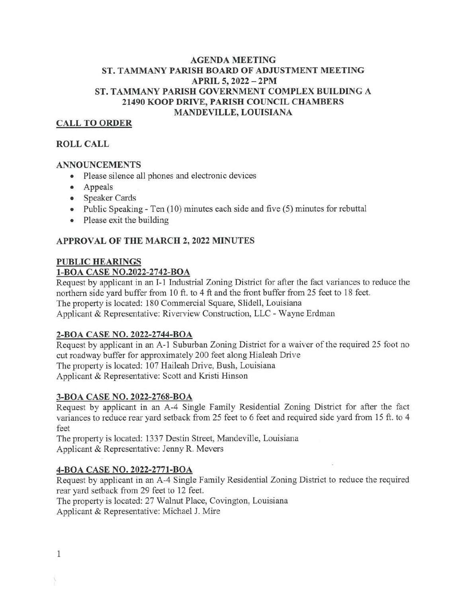# AGENDA MEETING ST. TAMMANY PARISH BOARD OF ADJUSTMENT MEETING APRIL 5, 2022 — 2PM ST. TAMMANY PARISH GOVERNMENT COMPLEX BUILDING A 21490 KOOP DRIVE, PARISH COUNCIL CHAMBERS MANDEVILLE, LOUISIANA

# CALL TO ORDER

## ROLL CALL

#### ANNOUNCEMENTS

- Please silence all phones and electronic devices
- Appeals
- Speaker Cards
- Public Speaking Ten (10) minutes each side and five (5) minutes for rebuttal
- Please exit the building

## APPROVAL OF THE MARCH 2, 2022 MINUTES

## PUBLIC HEARINGS

#### 1-BOA CASE NO.2022-2742-BOA

Request by applicant in an I-i Industrial Zoning District for after the fact variances to reduce the northern side yard buffer from 10 ft. to 4 ft and the front buffer from 25 feet to 18 feet. The property is located: 180 Commercial Square, Slidell, Louisiana Applicant & Representative: Riverview Construction, LLC - Wayne Erdman

#### 2-BOA CASE NO. 2022-2744-BOA

Request by applicant in an A-1 Suburban Zoning District for a waiver of the required 25 foot no cut roadway buffer for approximately 200 feet along Hialeah Drive The property is located: 107 Haileah Drive, Bush, Louisiana Applicant & Representative: Scott and Kristi Hinson

#### 3-BOA CASE NO. 2022-2768-BOA

Request by applicant in an A-4 Single Family Residential Zoning District for after the fact variances to reduce rear yard setback from 25 feet to 6 feet and required side yard from 15 ft. to 4 feet

The property is located: 1337 Destin Street, Mandeville, Louisiana Applicant & Representative: Jenny R. Meyers

#### 4-BOA CASE NO. 2022-2771-BOA

Request by applicant in an A-4 Single Family Residential Zoning District to reduce the required rear yard setback from 29 feet to 12 feet.

The property is located: 27 Walnut Place, Covington, Louisiana

Applicant & Representative: Michael J. Mire